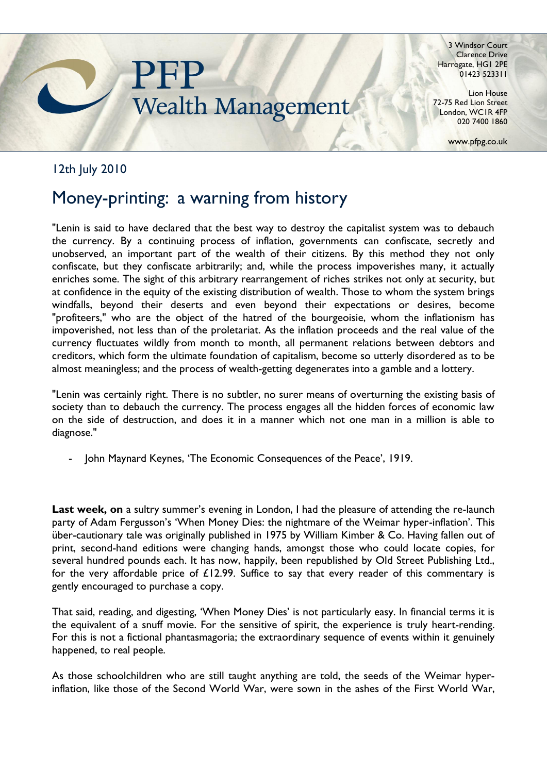

3 Windsor Court Clarence Drive Harrogate, HG1 2PE 01423 523311

Lion House 72-75 Red Lion Street London, WC1R 4FP 020 7400 1860

www.pfpg.co.uk

## 12th July 2010

## Money-printing: a warning from history

"Lenin is said to have declared that the best way to destroy the capitalist system was to debauch the currency. By a continuing process of inflation, governments can confiscate, secretly and unobserved, an important part of the wealth of their citizens. By this method they not only confiscate, but they confiscate arbitrarily; and, while the process impoverishes many, it actually enriches some. The sight of this arbitrary rearrangement of riches strikes not only at security, but at confidence in the equity of the existing distribution of wealth. Those to whom the system brings windfalls, beyond their deserts and even beyond their expectations or desires, become "profiteers," who are the object of the hatred of the bourgeoisie, whom the inflationism has impoverished, not less than of the proletariat. As the inflation proceeds and the real value of the currency fluctuates wildly from month to month, all permanent relations between debtors and creditors, which form the ultimate foundation of capitalism, become so utterly disordered as to be almost meaningless; and the process of wealth-getting degenerates into a gamble and a lottery.

"Lenin was certainly right. There is no subtler, no surer means of overturning the existing basis of society than to debauch the currency. The process engages all the hidden forces of economic law on the side of destruction, and does it in a manner which not one man in a million is able to diagnose."

John Maynard Keynes, 'The Economic Consequences of the Peace', 1919.

Last week, on a sultry summer's evening in London, I had the pleasure of attending the re-launch party of Adam Fergusson's 'When Money Dies: the nightmare of the Weimar hyper-inflation'. This über-cautionary tale was originally published in 1975 by William Kimber & Co. Having fallen out of print, second-hand editions were changing hands, amongst those who could locate copies, for several hundred pounds each. It has now, happily, been republished by Old Street Publishing Ltd., for the very affordable price of £12.99. Suffice to say that every reader of this commentary is gently encouraged to purchase a copy.

That said, reading, and digesting, "When Money Dies" is not particularly easy. In financial terms it is the equivalent of a snuff movie. For the sensitive of spirit, the experience is truly heart-rending. For this is not a fictional phantasmagoria; the extraordinary sequence of events within it genuinely happened, to real people.

As those schoolchildren who are still taught anything are told, the seeds of the Weimar hyperinflation, like those of the Second World War, were sown in the ashes of the First World War,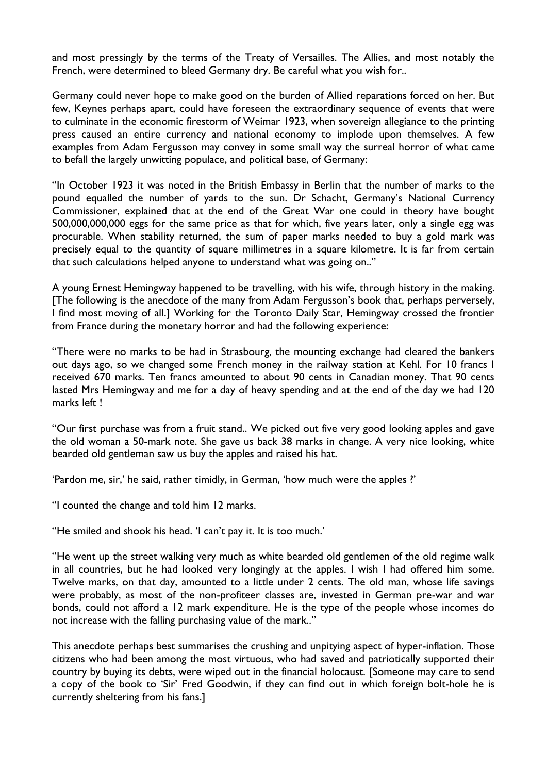and most pressingly by the terms of the Treaty of Versailles. The Allies, and most notably the French, were determined to bleed Germany dry. Be careful what you wish for..

Germany could never hope to make good on the burden of Allied reparations forced on her. But few, Keynes perhaps apart, could have foreseen the extraordinary sequence of events that were to culminate in the economic firestorm of Weimar 1923, when sovereign allegiance to the printing press caused an entire currency and national economy to implode upon themselves. A few examples from Adam Fergusson may convey in some small way the surreal horror of what came to befall the largely unwitting populace, and political base, of Germany:

"In October 1923 it was noted in the British Embassy in Berlin that the number of marks to the pound equalled the number of yards to the sun. Dr Schacht, Germany's National Currency Commissioner, explained that at the end of the Great War one could in theory have bought 500,000,000,000 eggs for the same price as that for which, five years later, only a single egg was procurable. When stability returned, the sum of paper marks needed to buy a gold mark was precisely equal to the quantity of square millimetres in a square kilometre. It is far from certain that such calculations helped anyone to understand what was going on.."

A young Ernest Hemingway happened to be travelling, with his wife, through history in the making. [The following is the anecdote of the many from Adam Fergusson"s book that, perhaps perversely, I find most moving of all.] Working for the Toronto Daily Star, Hemingway crossed the frontier from France during the monetary horror and had the following experience:

"There were no marks to be had in Strasbourg, the mounting exchange had cleared the bankers out days ago, so we changed some French money in the railway station at Kehl. For 10 francs I received 670 marks. Ten francs amounted to about 90 cents in Canadian money. That 90 cents lasted Mrs Hemingway and me for a day of heavy spending and at the end of the day we had 120 marks left !

"Our first purchase was from a fruit stand.. We picked out five very good looking apples and gave the old woman a 50-mark note. She gave us back 38 marks in change. A very nice looking, white bearded old gentleman saw us buy the apples and raised his hat.

"Pardon me, sir,' he said, rather timidly, in German, 'how much were the apples ?"

"I counted the change and told him 12 marks.

"He smiled and shook his head. 'I can't pay it. It is too much.'

"He went up the street walking very much as white bearded old gentlemen of the old regime walk in all countries, but he had looked very longingly at the apples. I wish I had offered him some. Twelve marks, on that day, amounted to a little under 2 cents. The old man, whose life savings were probably, as most of the non-profiteer classes are, invested in German pre-war and war bonds, could not afford a 12 mark expenditure. He is the type of the people whose incomes do not increase with the falling purchasing value of the mark.."

This anecdote perhaps best summarises the crushing and unpitying aspect of hyper-inflation. Those citizens who had been among the most virtuous, who had saved and patriotically supported their country by buying its debts, were wiped out in the financial holocaust. [Someone may care to send a copy of the book to "Sir" Fred Goodwin, if they can find out in which foreign bolt-hole he is currently sheltering from his fans.]